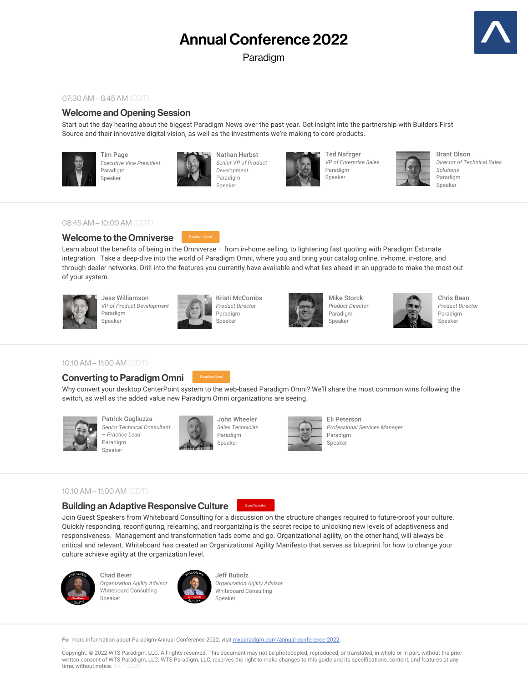# Annual Conference 2022

Paradigm



#### 07:30AM – 8:45AM (CDT)

# Welcome and Opening Session

Start out the day hearing about the biggest Paradigm News over the past year. Get insight into the partnership with Builders First Source and their innovative digital vision, as well as the investments we're making to core products.



Tim Page *Executive Vice President* Paradigm Speaker



Nathan Herbst *Senior VP of Product Development* Paradigm Speaker



Ted Nafzger *VP of Enterprise Sales* Paradigm Speaker



Brant Olson *Director of Technical Sales Solutions* Paradigm Speaker

## 08:45AM – 10:00 AM (CDT)

# Welcome to the Omniverse

Learn about the benefits of being in the Omniverse – from in-home selling, to lightening fast quoting with Paradigm Estimate integration. Take a deep-dive into the world of Paradigm Omni, where you and bring your catalog online, in-home, in-store, and through dealer networks. Drill into the features you currently have available and what lies ahead in an upgrade to make the most out of your system.



Jess Williamson *VP of Product Development* Paradigm Speaker



Kristi McCombs *Product Director* Paradigm



Mike Storck *Product Director* Paradigm Speaker



Chris Bean *Product Director* Paradigm Speaker

#### 10:10 AM – 11:00 AM (CDT)

# Converting to Paradigm Omni

Why convert your desktop CenterPoint system to the web-based Paradigm Omni? We'll share the most common wins following the switch, as well as the added value new Paradigm Omni organizations are seeing.



Patrick Gugliuzza *Senior Technical Consultant – Practice Lead* Paradigm Speaker



John Wheeler *Sales Technician* Paradigm Speaker



Eli Peterson *Professional Services Manager* Paradigm Speaker

#### 10:10 AM – 11:00 AM (CDT)

#### Building an Adaptive Responsive Culture



Join Guest Speakers from Whiteboard Consulting for a discussion on the structure changes required to future-proof your culture. Quickly responding, reconfiguring, relearning, and reorganizing is the secret recipe to unlocking new levels of adaptiveness and responsiveness. Management and transformation fads come and go. Organizational agility, on the other hand, will always be critical and relevant. Whiteboard has created an Organizational Agility Manifesto that serves as blueprint for how to change your culture achieve agility at the organization level.



Chad Beier **Organization Agility Advisor** Whiteboard Consulting Speaker



Jeff Bubolz *Organization Agility Advisor* Whiteboard Consulting Speaker

For more information about Paradigm Annual Conference 2022, visit myparadigm.com/annual-conference-2022.

Copyright. © 2022 WTS Paradigm, LLC. All rights reserved. This document may not be photocopied, reproduced, or translated, in whole or in part, without the prior written consent of WTS Paradigm, LLC. WTS Paradigm, LLC, reserves the right to make changes to this guide and its specifications, content, and features at any time, without notice. 1071-220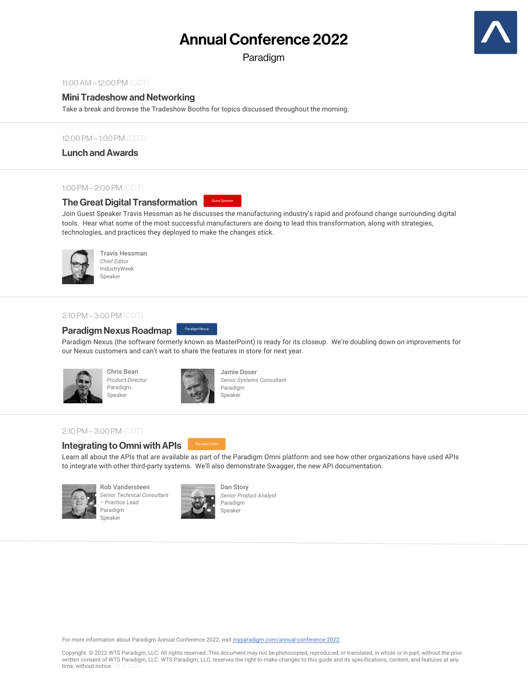# Annual Conference 2022

Paradigm



#### 11:00 AM – 12:00 PM (CDT)

# Mini Tradeshow and Networking

Take a break and browse the Tradeshow Booths for topics discussed throughout the morning.

#### 12:00 PM – 1:00 PM (CDT)

Lunch and Awards

#### 1:00 PM – 2:00 PM (CDT)

## The Great Digital Transformation

Guest Speaker

Join Guest Speaker Travis Hessman as he discusses the manufacturing industry's rapid and profound change surrounding digital tools. Hear what some of the most successful manufacturers are doing to lead this transformation, along with strategies, technologies, and practices they deployed to make the changes stick.



Travis Hessman *Chief Editor* IndustryWeek **Speaker** 

# 2:10 PM – 3:00 PM (CDT)

#### Paradigm Nexus Paradigm Nexus Roadmap

Paradigm Nexus (the software formerly known as MasterPoint) is ready for its closeup. We're doubling down on improvements for our Nexus customers and can't wait to share the features in store for next year.



Chris Bean *Product Director* Paradigm Speaker



Jamie Doser *Senior Systems Consultant* Paradigm Speaker

## 2:10 PM – 3:00 PM (CDT)

# Integrating to Omni with APIs

Learn all about the APIs that are available as part of the Paradigm Omni platform and see how other organizations have used APIs to integrate with other third-party systems. We'll also demonstrate Swagger, the new API documentation.



Rob Vandersteen *Senior Technical Consultant – Practice Lead* Paradigm Speaker



Dan Story *Senior Product Analyst* Paradigm Speaker

For more information about Paradigm Annual Conference 2022, visit myparadigm.com/annual-conference-2022.

Copyright. © 2022 WTS Paradigm, LLC. All rights reserved. This document may not be photocopied, reproduced, or translated, in whole or in part, without the prior written consent of WTS Paradigm, LLC. WTS Paradigm, LLC, reserves the right to make changes to this guide and its specifications, content, and features at any time, without notice. 1071-220